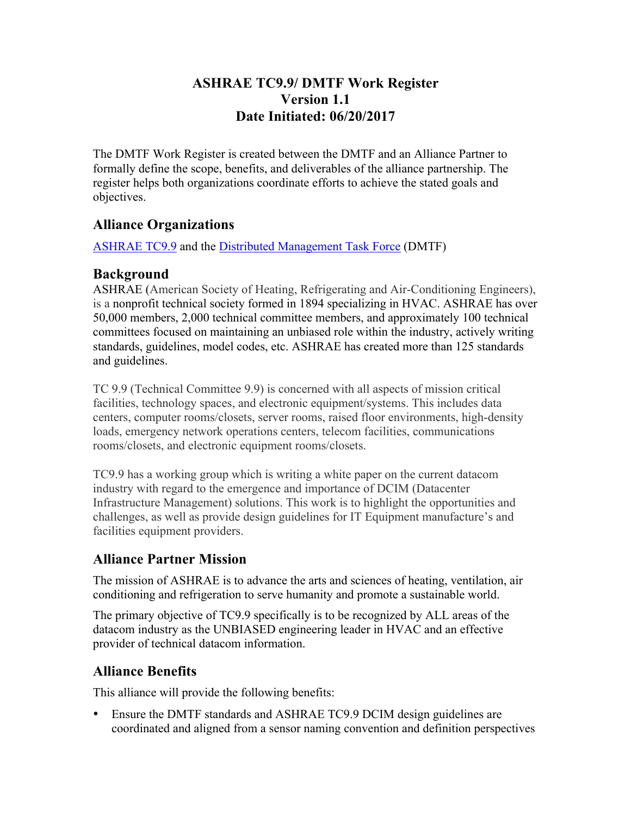### **ASHRAE TC9.9/ DMTF Work Register Version 1.1 Date Initiated: 06/20/2017**

The DMTF Work Register is created between the DMTF and an Alliance Partner to formally define the scope, benefits, and deliverables of the alliance partnership. The register helps both organizations coordinate efforts to achieve the stated goals and objectives.

## **Alliance Organizations**

ASHRAE TC9.9 and the Distributed Management Task Force (DMTF)

#### **Background**

ASHRAE (American Society of Heating, Refrigerating and Air-Conditioning Engineers), is a nonprofit technical society formed in 1894 specializing in HVAC. ASHRAE has over 50,000 members, 2,000 technical committee members, and approximately 100 technical committees focused on maintaining an unbiased role within the industry, actively writing standards, guidelines, model codes, etc. ASHRAE has created more than 125 standards and guidelines.

TC 9.9 (Technical Committee 9.9) is concerned with all aspects of mission critical facilities, technology spaces, and electronic equipment/systems. This includes data centers, computer rooms/closets, server rooms, raised floor environments, high-density loads, emergency network operations centers, telecom facilities, communications rooms/closets, and electronic equipment rooms/closets.

TC9.9 has a working group which is writing a white paper on the current datacom industry with regard to the emergence and importance of DCIM (Datacenter Infrastructure Management) solutions. This work is to highlight the opportunities and challenges, as well as provide design guidelines for IT Equipment manufacture's and facilities equipment providers.

# **Alliance Partner Mission**

The mission of ASHRAE is to advance the arts and sciences of heating, ventilation, air conditioning and refrigeration to serve humanity and promote a sustainable world.

The primary objective of TC9.9 specifically is to be recognized by ALL areas of the datacom industry as the UNBIASED engineering leader in HVAC and an effective provider of technical datacom information.

# **Alliance Benefits**

This alliance will provide the following benefits:

• Ensure the DMTF standards and ASHRAE TC9.9 DCIM design guidelines are coordinated and aligned from a sensor naming convention and definition perspectives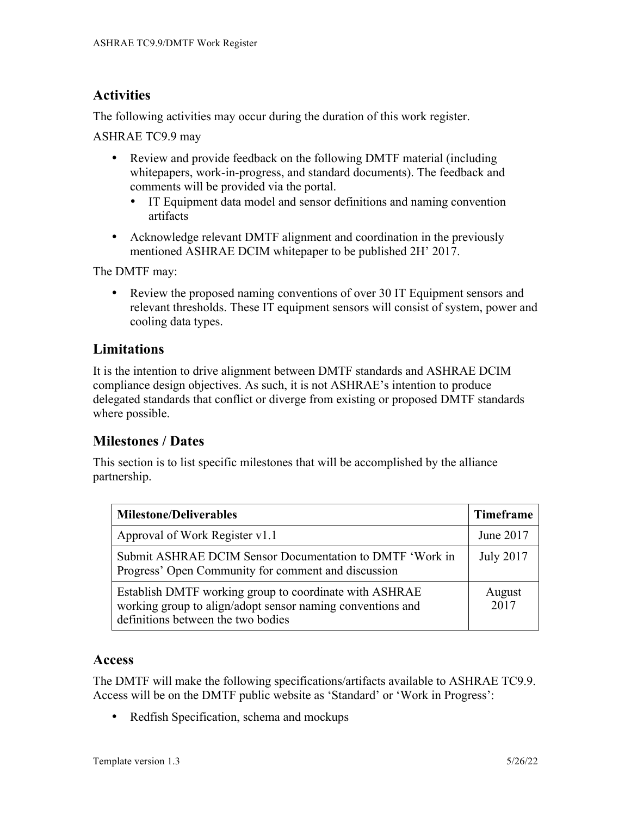# **Activities**

The following activities may occur during the duration of this work register.

ASHRAE TC9.9 may

- Review and provide feedback on the following DMTF material (including whitepapers, work-in-progress, and standard documents). The feedback and comments will be provided via the portal.
	- IT Equipment data model and sensor definitions and naming convention artifacts
- Acknowledge relevant DMTF alignment and coordination in the previously mentioned ASHRAE DCIM whitepaper to be published 2H' 2017.

The DMTF may:

• Review the proposed naming conventions of over 30 IT Equipment sensors and relevant thresholds. These IT equipment sensors will consist of system, power and cooling data types.

## **Limitations**

It is the intention to drive alignment between DMTF standards and ASHRAE DCIM compliance design objectives. As such, it is not ASHRAE's intention to produce delegated standards that conflict or diverge from existing or proposed DMTF standards where possible.

### **Milestones / Dates**

This section is to list specific milestones that will be accomplished by the alliance partnership.

| <b>Milestone/Deliverables</b>                                                                                                                              | <b>Timeframe</b> |
|------------------------------------------------------------------------------------------------------------------------------------------------------------|------------------|
| Approval of Work Register v1.1                                                                                                                             | June 2017        |
| Submit ASHRAE DCIM Sensor Documentation to DMTF 'Work in<br>Progress' Open Community for comment and discussion                                            | <b>July 2017</b> |
| Establish DMTF working group to coordinate with ASHRAE<br>working group to align/adopt sensor naming conventions and<br>definitions between the two bodies | August<br>2017   |

### **Access**

The DMTF will make the following specifications/artifacts available to ASHRAE TC9.9. Access will be on the DMTF public website as 'Standard' or 'Work in Progress':

• Redfish Specification, schema and mockups